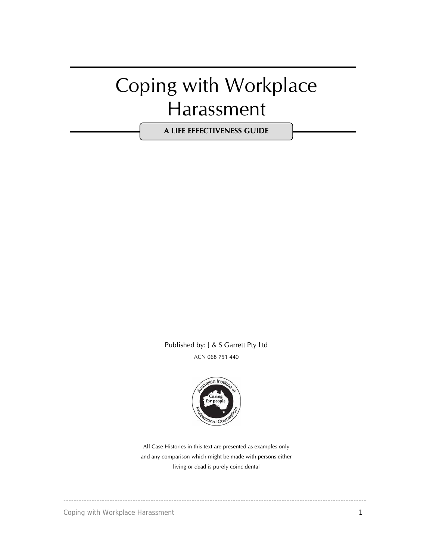# Coping with Workplace Harassment

**A LIFE EFFECTIVENESS GUIDE**

Published by: J & S Garrett Pty Ltd ACN 068 751 440



All Case Histories in this text are presented as examples only and any comparison which might be made with persons either living or dead is purely coincidental

----------------------------------------------------------------------------------------------------------------------

Coping with Workplace Harassment 1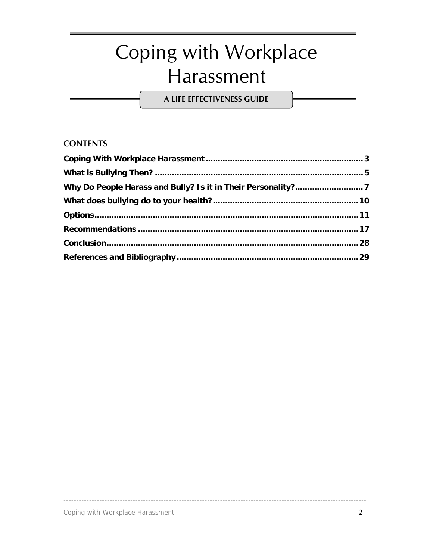# Coping with Workplace Harassment

A LIFE EFFECTIVENESS GUIDE

### **CONTENTS**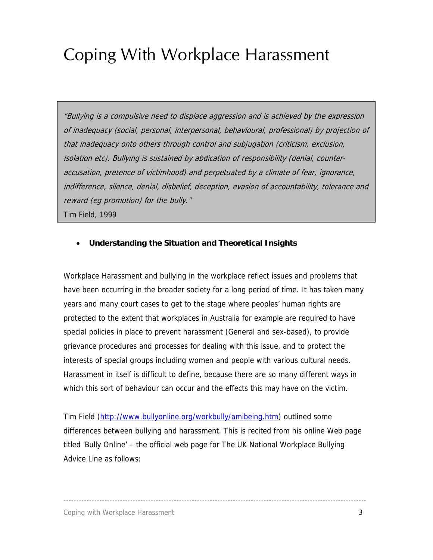# <span id="page-2-0"></span>Coping With Workplace Harassment

"Bullying is a compulsive need to displace aggression and is achieved by the expression of inadequacy (social, personal, interpersonal, behavioural, professional) by projection of that inadequacy onto others through control and subjugation (criticism, exclusion, isolation etc). Bullying is sustained by abdication of responsibility (denial, counteraccusation, pretence of victimhood) and perpetuated by a climate of fear, ignorance, indifference, silence, denial, disbelief, deception, evasion of accountability, tolerance and reward (eg promotion) for the bully." Tim Field, 1999

### • **Understanding the Situation and Theoretical Insights**

Workplace Harassment and bullying in the workplace reflect issues and problems that have been occurring in the broader society for a long period of time. It has taken many years and many court cases to get to the stage where peoples' human rights are protected to the extent that workplaces in Australia for example are required to have special policies in place to prevent harassment (General and sex-based), to provide grievance procedures and processes for dealing with this issue, and to protect the interests of special groups including women and people with various cultural needs. Harassment in itself is difficult to define, because there are so many different ways in which this sort of behaviour can occur and the effects this may have on the victim.

Tim Field ([http://www.bullyonline.org/workbully/amibeing.htm\)](http://www.bullyonline.org/workbully/amibeing.htm) outlined some differences between bullying and harassment. This is recited from his online Web page titled 'Bully Online' – the official web page for The UK National Workplace Bullying Advice Line as follows: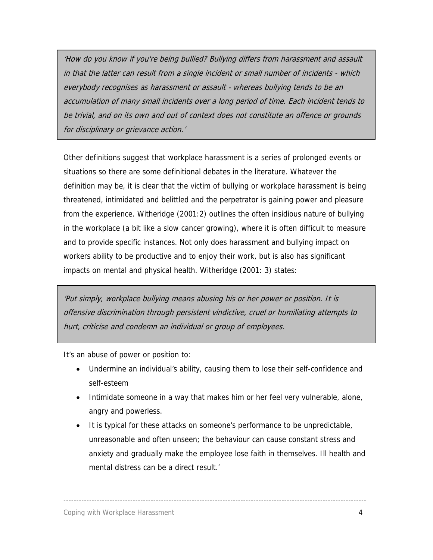'How do you know if you're being bullied? Bullying differs from harassment and assault in that the latter can result from a single incident or small number of incidents - which everybody recognises as harassment or assault - whereas bullying tends to be an accumulation of many small incidents over a long period of time. Each incident tends to be trivial, and on its own and out of context does not constitute an offence or grounds for disciplinary or grievance action.'

Other definitions suggest that workplace harassment is a series of prolonged events or situations so there are some definitional debates in the literature. Whatever the definition may be, it is clear that the victim of bullying or workplace harassment is being threatened, intimidated and belittled and the perpetrator is gaining power and pleasure from the experience. Witheridge (2001:2) outlines the often insidious nature of bullying in the workplace (a bit like a slow cancer growing), where it is often difficult to measure and to provide specific instances. Not only does harassment and bullying impact on workers ability to be productive and to enjoy their work, but is also has significant impacts on mental and physical health. Witheridge (2001: 3) states:

'Put simply, workplace bullying means abusing his or her power or position. It is offensive discrimination through persistent vindictive, cruel or humiliating attempts to hurt, criticise and condemn an individual or group of employees.

It's an abuse of power or position to:

- Undermine an individual's ability, causing them to lose their self-confidence and self-esteem
- Intimidate someone in a way that makes him or her feel very vulnerable, alone, angry and powerless.
- It is typical for these attacks on someone's performance to be unpredictable, unreasonable and often unseen; the behaviour can cause constant stress and anxiety and gradually make the employee lose faith in themselves. Ill health and mental distress can be a direct result.'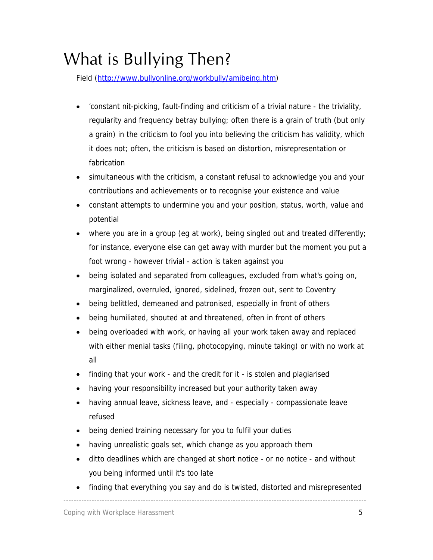# <span id="page-4-0"></span>What is Bullying Then?

Field [\(http://www.bullyonline.org/workbully/amibeing.htm](http://www.bullyonline.org/workbully/amibeing.htm))

- 'constant nit-picking, fault-finding and criticism of a trivial nature the triviality, regularity and frequency betray bullying; often there is a grain of truth (but only a grain) in the criticism to fool you into believing the criticism has validity, which it does not; often, the criticism is based on distortion, misrepresentation or fabrication
- simultaneous with the criticism, a constant refusal to acknowledge you and your contributions and achievements or to recognise your existence and value
- constant attempts to undermine you and your position, status, worth, value and potential
- where you are in a group (eg at work), being singled out and treated differently; for instance, everyone else can get away with murder but the moment you put a foot wrong - however trivial - action is taken against you
- being isolated and separated from colleagues, excluded from what's going on, marginalized, overruled, ignored, sidelined, frozen out, sent to Coventry
- being belittled, demeaned and patronised, especially in front of others
- being humiliated, shouted at and threatened, often in front of others
- being overloaded with work, or having all your work taken away and replaced with either menial tasks (filing, photocopying, minute taking) or with no work at all
- finding that your work and the credit for it is stolen and plagiarised
- having your responsibility increased but your authority taken away
- having annual leave, sickness leave, and especially compassionate leave refused
- being denied training necessary for you to fulfil your duties
- having unrealistic goals set, which change as you approach them
- ditto deadlines which are changed at short notice or no notice and without you being informed until it's too late
- finding that everything you say and do is twisted, distorted and misrepresented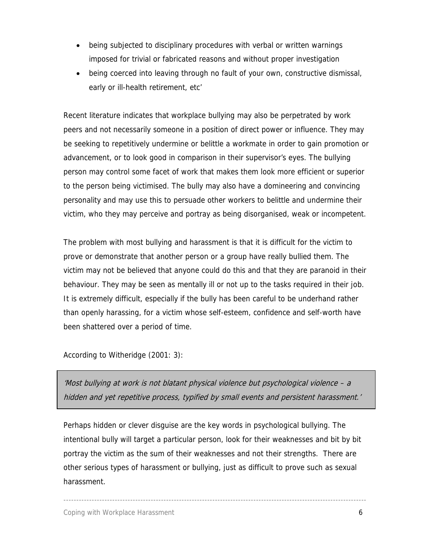- being subjected to disciplinary procedures with verbal or written warnings imposed for trivial or fabricated reasons and without proper investigation
- being coerced into leaving through no fault of your own, constructive dismissal, early or ill-health retirement, etc'

Recent literature indicates that workplace bullying may also be perpetrated by work peers and not necessarily someone in a position of direct power or influence. They may be seeking to repetitively undermine or belittle a workmate in order to gain promotion or advancement, or to look good in comparison in their supervisor's eyes. The bullying person may control some facet of work that makes them look more efficient or superior to the person being victimised. The bully may also have a domineering and convincing personality and may use this to persuade other workers to belittle and undermine their victim, who they may perceive and portray as being disorganised, weak or incompetent.

The problem with most bullying and harassment is that it is difficult for the victim to prove or demonstrate that another person or a group have really bullied them. The victim may not be believed that anyone could do this and that they are paranoid in their behaviour. They may be seen as mentally ill or not up to the tasks required in their job. It is extremely difficult, especially if the bully has been careful to be underhand rather than openly harassing, for a victim whose self-esteem, confidence and self-worth have been shattered over a period of time.

According to Witheridge (2001: 3):

'Most bullying at work is not blatant physical violence but psychological violence – a hidden and yet repetitive process, typified by small events and persistent harassment.'

Perhaps hidden or clever disguise are the key words in psychological bullying. The intentional bully will target a particular person, look for their weaknesses and bit by bit portray the victim as the sum of their weaknesses and not their strengths. There are other serious types of harassment or bullying, just as difficult to prove such as sexual harassment.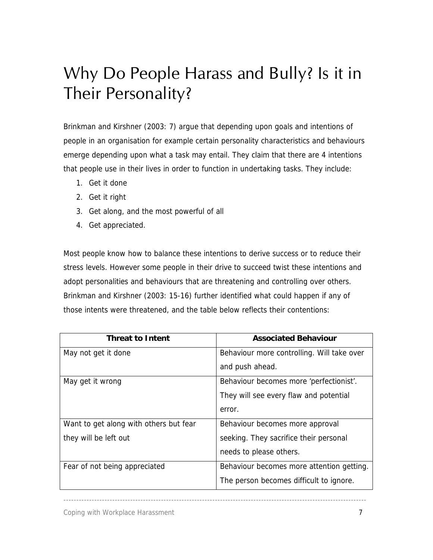# <span id="page-6-0"></span>Why Do People Harass and Bully? Is it in Their Personality?

Brinkman and Kirshner (2003: 7) argue that depending upon goals and intentions of people in an organisation for example certain personality characteristics and behaviours emerge depending upon what a task may entail. They claim that there are 4 intentions that people use in their lives in order to function in undertaking tasks. They include:

- 1. Get it done
- 2. Get it right
- 3. Get along, and the most powerful of all
- 4. Get appreciated.

Most people know how to balance these intentions to derive success or to reduce their stress levels. However some people in their drive to succeed twist these intentions and adopt personalities and behaviours that are threatening and controlling over others. Brinkman and Kirshner (2003: 15-16) further identified what could happen if any of those intents were threatened, and the table below reflects their contentions:

| <b>Threat to Intent</b>                | <b>Associated Behaviour</b>                |
|----------------------------------------|--------------------------------------------|
| May not get it done                    | Behaviour more controlling. Will take over |
|                                        | and push ahead.                            |
| May get it wrong                       | Behaviour becomes more 'perfectionist'.    |
|                                        | They will see every flaw and potential     |
|                                        | error.                                     |
| Want to get along with others but fear | Behaviour becomes more approval            |
| they will be left out                  | seeking. They sacrifice their personal     |
|                                        | needs to please others.                    |
| Fear of not being appreciated          | Behaviour becomes more attention getting.  |
|                                        | The person becomes difficult to ignore.    |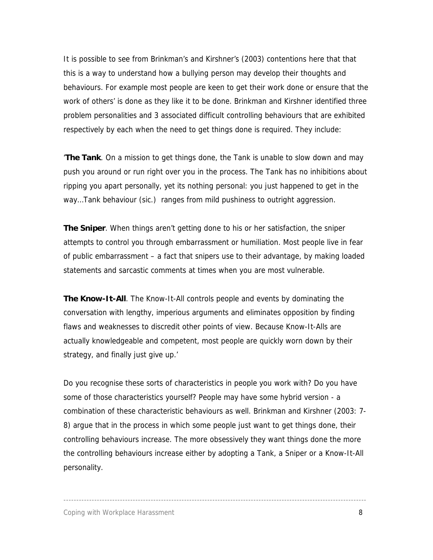It is possible to see from Brinkman's and Kirshner's (2003) contentions here that that this is a way to understand how a bullying person may develop their thoughts and behaviours. For example most people are keen to get their work done or ensure that the work of others' is done as they like it to be done. Brinkman and Kirshner identified three problem personalities and 3 associated difficult controlling behaviours that are exhibited respectively by each when the need to get things done is required. They include:

'**The Tank**. On a mission to get things done, the Tank is unable to slow down and may push you around or run right over you in the process. The Tank has no inhibitions about ripping you apart personally, yet its nothing personal: you just happened to get in the way…Tank behaviour (sic.) ranges from mild pushiness to outright aggression.

**The Sniper**. When things aren't getting done to his or her satisfaction, the sniper attempts to control you through embarrassment or humiliation. Most people live in fear of public embarrassment – a fact that snipers use to their advantage, by making loaded statements and sarcastic comments at times when you are most vulnerable.

**The Know-It-All**. The Know-It-All controls people and events by dominating the conversation with lengthy, imperious arguments and eliminates opposition by finding flaws and weaknesses to discredit other points of view. Because Know-It-Alls are actually knowledgeable and competent, most people are quickly worn down by their strategy, and finally just give up.'

Do you recognise these sorts of characteristics in people you work with? Do you have some of those characteristics yourself? People may have some hybrid version - a combination of these characteristic behaviours as well. Brinkman and Kirshner (2003: 7- 8) argue that in the process in which some people just want to get things done, their controlling behaviours increase. The more obsessively they want things done the more the controlling behaviours increase either by adopting a Tank, a Sniper or a Know-It-All personality.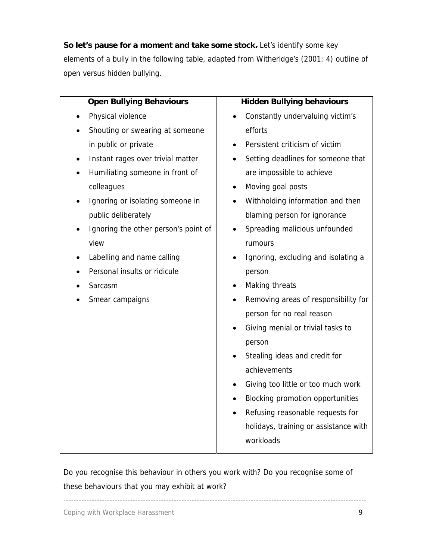**So let's pause for a moment and take some stock.** Let's identify some key elements of a bully in the following table, adapted from Witheridge's (2001: 4) outline of open versus hidden bullying.

| <b>Open Bullying Behaviours</b>      | <b>Hidden Bullying behaviours</b>               |
|--------------------------------------|-------------------------------------------------|
| Physical violence<br>$\bullet$       | Constantly undervaluing victim's<br>$\bullet$   |
| Shouting or swearing at someone      | efforts                                         |
| in public or private                 | Persistent criticism of victim<br>$\bullet$     |
| Instant rages over trivial matter    | Setting deadlines for someone that              |
| Humiliating someone in front of      | are impossible to achieve                       |
| colleagues                           | Moving goal posts                               |
| Ignoring or isolating someone in     | Withholding information and then                |
| public deliberately                  | blaming person for ignorance                    |
| Ignoring the other person's point of | Spreading malicious unfounded                   |
| view                                 | rumours                                         |
| Labelling and name calling           | Ignoring, excluding and isolating a             |
| Personal insults or ridicule         | person                                          |
| Sarcasm                              | Making threats                                  |
| Smear campaigns                      | Removing areas of responsibility for            |
|                                      | person for no real reason                       |
|                                      | Giving menial or trivial tasks to               |
|                                      | person                                          |
|                                      | Stealing ideas and credit for                   |
|                                      | achievements                                    |
|                                      | Giving too little or too much work<br>$\bullet$ |
|                                      | Blocking promotion opportunities<br>$\bullet$   |
|                                      | Refusing reasonable requests for<br>$\bullet$   |
|                                      | holidays, training or assistance with           |
|                                      | workloads                                       |
|                                      |                                                 |

Do you recognise this behaviour in others you work with? Do you recognise some of these behaviours that you may exhibit at work?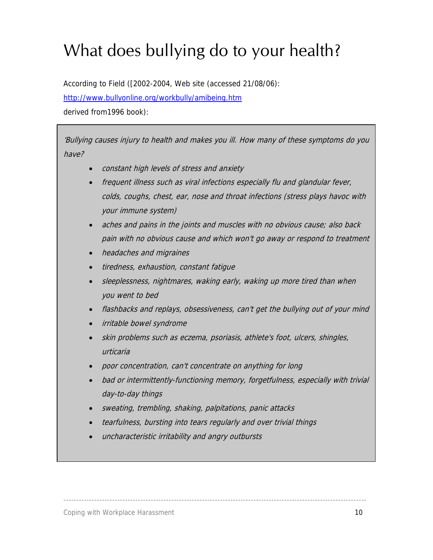# <span id="page-9-0"></span>What does bullying do to your health?

According to Field ([2002-2004, Web site (accessed 21/08/06): [http://www.bullyonline.org/workbully/amibeing.htm](http://www.bullyonline.org/workbully/amibeing.htm%20derived%20from1996)  [derived from1996](http://www.bullyonline.org/workbully/amibeing.htm%20derived%20from1996) book):

'Bullying causes injury to health and makes you ill. How many of these symptoms do you have?

- constant high levels of stress and anxiety
- frequent illness such as viral infections especially flu and glandular fever, colds, coughs, chest, ear, nose and throat infections (stress plays havoc with your immune system)
- aches and pains in the joints and muscles with no obvious cause; also back pain with no obvious cause and which won't go away or respond to treatment
- headaches and migraines
- tiredness, exhaustion, constant fatigue
- sleeplessness, nightmares, waking early, waking up more tired than when you went to bed
- flashbacks and replays, obsessiveness, can't get the bullying out of your mind
- irritable bowel syndrome
- skin problems such as eczema, psoriasis, athlete's foot, ulcers, shingles, urticaria
- poor concentration, can't concentrate on anything for long
- bad or intermittently-functioning memory, forgetfulness, especially with trivial day-to-day things
- sweating, trembling, shaking, palpitations, panic attacks
- tearfulness, bursting into tears regularly and over trivial things

----------------------------------------------------------------------------------------------------------------------

uncharacteristic irritability and angry outbursts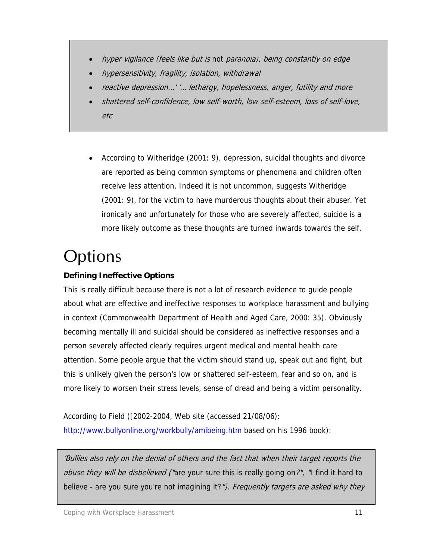- <span id="page-10-0"></span>• hyper vigilance (feels like but is not paranoia), being constantly on edge
- hypersensitivity, fragility, isolation, withdrawal
- reactive depression…' '… lethargy, hopelessness, anger, futility and more
- shattered self-confidence, low self-worth, low self-esteem, loss of self-love, etc
- According to Witheridge (2001: 9), depression, suicidal thoughts and divorce are reported as being common symptoms or phenomena and children often receive less attention. Indeed it is not uncommon, suggests Witheridge (2001: 9), for the victim to have murderous thoughts about their abuser. Yet ironically and unfortunately for those who are severely affected, suicide is a more likely outcome as these thoughts are turned inwards towards the self.

# **Options**

### **Defining Ineffective Options**

This is really difficult because there is not a lot of research evidence to guide people about what are effective and ineffective responses to workplace harassment and bullying in context (Commonwealth Department of Health and Aged Care, 2000: 35). Obviously becoming mentally ill and suicidal should be considered as ineffective responses and a person severely affected clearly requires urgent medical and mental health care attention. Some people argue that the victim should stand up, speak out and fight, but this is unlikely given the person's low or shattered self-esteem, fear and so on, and is more likely to worsen their stress levels, sense of dread and being a victim personality.

According to Field ([2002-2004, Web site (accessed 21/08/06): <http://www.bullyonline.org/workbully/amibeing.htm>based on his 1996 book):

'Bullies also rely on the denial of others and the fact that when their target reports the abuse they will be disbelieved ("are your sure this is really going on?", "I find it hard to believe - are you sure you're not imagining it?"). Frequently targets are asked why they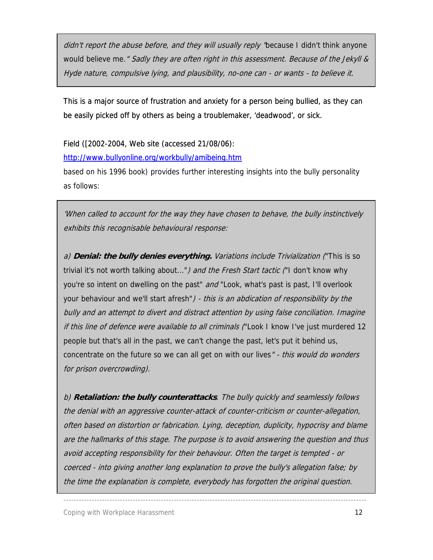didn't report the abuse before, and they will usually reply 'because I didn't think anyone would believe me." Sadly they are often right in this assessment. Because of the Jekyll & Hyde nature, compulsive lying, and plausibility, no-one can - or wants - to believe it.

This is a major source of frustration and anxiety for a person being bullied, as they can be easily picked off by others as being a troublemaker, 'deadwood', or sick.

Field ([2002-2004, Web site (accessed 21/08/06):

<http://www.bullyonline.org/workbully/amibeing.htm>

based on his 1996 book) provides further interesting insights into the bully personality as follows:

'When called to account for the way they have chosen to behave, the bully instinctively exhibits this recognisable behavioural response:

a) **Denial: the bully denies everything.** Variations include Trivialization ("This is so trivial it's not worth talking about...") and the Fresh Start tactic ("I don't know why you're so intent on dwelling on the past" and "Look, what's past is past, I'll overlook your behaviour and we'll start afresh") - this is an abdication of responsibility by the bully and an attempt to divert and distract attention by using false conciliation. Imagine if this line of defence were available to all criminals ("Look I know I've just murdered 12 people but that's all in the past, we can't change the past, let's put it behind us, concentrate on the future so we can all get on with our lives" - this would do wonders for prison overcrowding).

b) **Retaliation: the bully counterattacks**. The bully quickly and seamlessly follows the denial with an aggressive counter-attack of counter-criticism or counter-allegation, often based on distortion or fabrication. Lying, deception, duplicity, hypocrisy and blame are the hallmarks of this stage. The purpose is to avoid answering the question and thus avoid accepting responsibility for their behaviour. Often the target is tempted - or coerced - into giving another long explanation to prove the bully's allegation false; by the time the explanation is complete, everybody has forgotten the original question.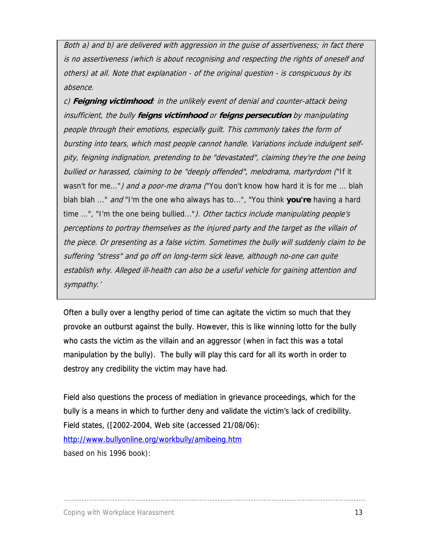Both a) and b) are delivered with aggression in the guise of assertiveness; in fact there is no assertiveness (which is about recognising and respecting the rights of oneself and others) at all. Note that explanation - of the original question - is conspicuous by its absence.

c) **Feigning victimhood**: in the unlikely event of denial and counter-attack being insufficient, the bully **feigns victimhood** or **feigns persecution** by manipulating people through their emotions, especially guilt. This commonly takes the form of bursting into tears, which most people cannot handle. Variations include indulgent selfpity, feigning indignation, pretending to be "devastated", claiming they're the one being bullied or harassed, claiming to be "deeply offended", melodrama, martyrdom ("If it wasn't for me...") and a poor-me drama ("You don't know how hard it is for me ... blah blah blah ..." and "I'm the one who always has to...", "You think **you're** having a hard time ...", "I'm the one being bullied..."). Other tactics include manipulating people's perceptions to portray themselves as the injured party and the target as the villain of the piece. Or presenting as a false victim. Sometimes the bully will suddenly claim to be suffering "stress" and go off on long-term sick leave, although no-one can quite establish why. Alleged ill-health can also be a useful vehicle for gaining attention and sympathy.'

Often a bully over a lengthy period of time can agitate the victim so much that they provoke an outburst against the bully. However, this is like winning lotto for the bully who casts the victim as the villain and an aggressor (when in fact this was a total manipulation by the bully). The bully will play this card for all its worth in order to destroy any credibility the victim may have had.

Field also questions the process of mediation in grievance proceedings, which for the bully is a means in which to further deny and validate the victim's lack of credibility. Field states, ([2002-2004, Web site (accessed 21/08/06): <http://www.bullyonline.org/workbully/amibeing.htm> based on his 1996 book):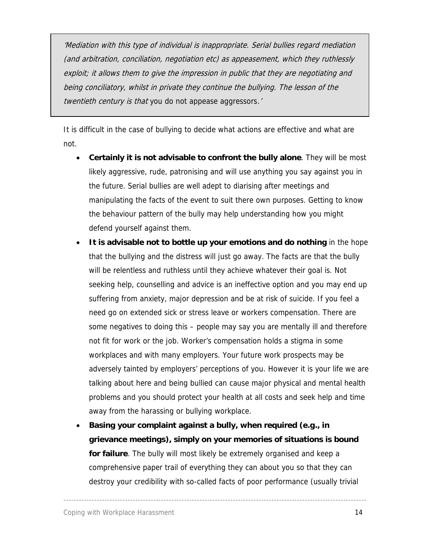'Mediation with this type of individual is inappropriate. Serial bullies regard mediation (and arbitration, conciliation, negotiation etc) as appeasement, which they ruthlessly exploit; it allows them to give the impression in public that they are negotiating and being conciliatory, whilst in private they continue the bullying. The lesson of the twentieth century is that you do not appease aggressors.'

It is difficult in the case of bullying to decide what actions are effective and what are not.

- **Certainly it is not advisable to confront the bully alone**. They will be most likely aggressive, rude, patronising and will use anything you say against you in the future. Serial bullies are well adept to diarising after meetings and manipulating the facts of the event to suit there own purposes. Getting to know the behaviour pattern of the bully may help understanding how you might defend yourself against them.
- **It is advisable not to bottle up your emotions and do nothing** in the hope that the bullying and the distress will just go away. The facts are that the bully will be relentless and ruthless until they achieve whatever their goal is. Not seeking help, counselling and advice is an ineffective option and you may end up suffering from anxiety, major depression and be at risk of suicide. If you feel a need go on extended sick or stress leave or workers compensation. There are some negatives to doing this – people may say you are mentally ill and therefore not fit for work or the job. Worker's compensation holds a stigma in some workplaces and with many employers. Your future work prospects may be adversely tainted by employers' perceptions of you. However it is your life we are talking about here and being bullied can cause major physical and mental health problems and you should protect your health at all costs and seek help and time away from the harassing or bullying workplace.
- **Basing your complaint against a bully, when required (e.g., in grievance meetings), simply on your memories of situations is bound for failure**. The bully will most likely be extremely organised and keep a comprehensive paper trail of everything they can about you so that they can destroy your credibility with so-called facts of poor performance (usually trivial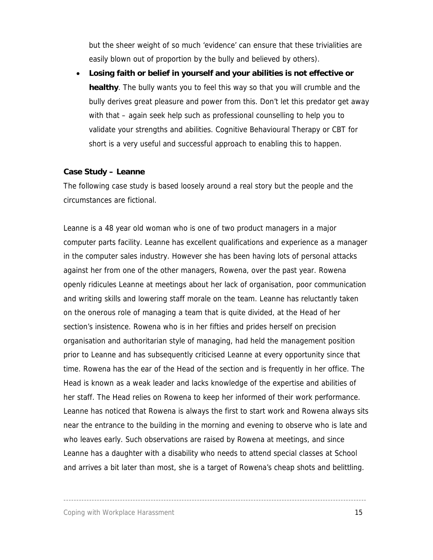but the sheer weight of so much 'evidence' can ensure that these trivialities are easily blown out of proportion by the bully and believed by others).

• **Losing faith or belief in yourself and your abilities is not effective or healthy**. The bully wants you to feel this way so that you will crumble and the bully derives great pleasure and power from this. Don't let this predator get away with that – again seek help such as professional counselling to help you to validate your strengths and abilities. Cognitive Behavioural Therapy or CBT for short is a very useful and successful approach to enabling this to happen.

### **Case Study – Leanne**

The following case study is based loosely around a real story but the people and the circumstances are fictional.

Leanne is a 48 year old woman who is one of two product managers in a major computer parts facility. Leanne has excellent qualifications and experience as a manager in the computer sales industry. However she has been having lots of personal attacks against her from one of the other managers, Rowena, over the past year. Rowena openly ridicules Leanne at meetings about her lack of organisation, poor communication and writing skills and lowering staff morale on the team. Leanne has reluctantly taken on the onerous role of managing a team that is quite divided, at the Head of her section's insistence. Rowena who is in her fifties and prides herself on precision organisation and authoritarian style of managing, had held the management position prior to Leanne and has subsequently criticised Leanne at every opportunity since that time. Rowena has the ear of the Head of the section and is frequently in her office. The Head is known as a weak leader and lacks knowledge of the expertise and abilities of her staff. The Head relies on Rowena to keep her informed of their work performance. Leanne has noticed that Rowena is always the first to start work and Rowena always sits near the entrance to the building in the morning and evening to observe who is late and who leaves early. Such observations are raised by Rowena at meetings, and since Leanne has a daughter with a disability who needs to attend special classes at School and arrives a bit later than most, she is a target of Rowena's cheap shots and belittling.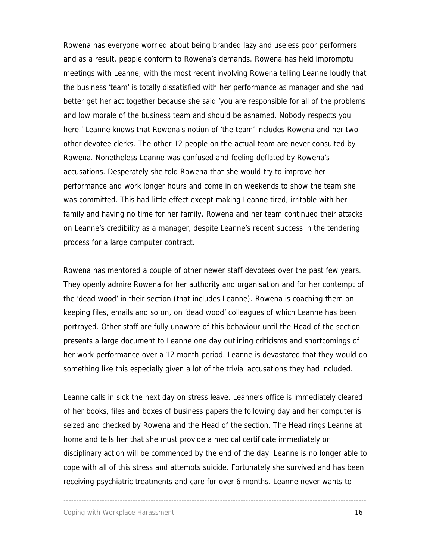Rowena has everyone worried about being branded lazy and useless poor performers and as a result, people conform to Rowena's demands. Rowena has held impromptu meetings with Leanne, with the most recent involving Rowena telling Leanne loudly that the business 'team' is totally dissatisfied with her performance as manager and she had better get her act together because she said 'you are responsible for all of the problems and low morale of the business team and should be ashamed. Nobody respects you here.' Leanne knows that Rowena's notion of 'the team' includes Rowena and her two other devotee clerks. The other 12 people on the actual team are never consulted by Rowena. Nonetheless Leanne was confused and feeling deflated by Rowena's accusations. Desperately she told Rowena that she would try to improve her performance and work longer hours and come in on weekends to show the team she was committed. This had little effect except making Leanne tired, irritable with her family and having no time for her family. Rowena and her team continued their attacks on Leanne's credibility as a manager, despite Leanne's recent success in the tendering process for a large computer contract.

Rowena has mentored a couple of other newer staff devotees over the past few years. They openly admire Rowena for her authority and organisation and for her contempt of the 'dead wood' in their section (that includes Leanne). Rowena is coaching them on keeping files, emails and so on, on 'dead wood' colleagues of which Leanne has been portrayed. Other staff are fully unaware of this behaviour until the Head of the section presents a large document to Leanne one day outlining criticisms and shortcomings of her work performance over a 12 month period. Leanne is devastated that they would do something like this especially given a lot of the trivial accusations they had included.

Leanne calls in sick the next day on stress leave. Leanne's office is immediately cleared of her books, files and boxes of business papers the following day and her computer is seized and checked by Rowena and the Head of the section. The Head rings Leanne at home and tells her that she must provide a medical certificate immediately or disciplinary action will be commenced by the end of the day. Leanne is no longer able to cope with all of this stress and attempts suicide. Fortunately she survived and has been receiving psychiatric treatments and care for over 6 months. Leanne never wants to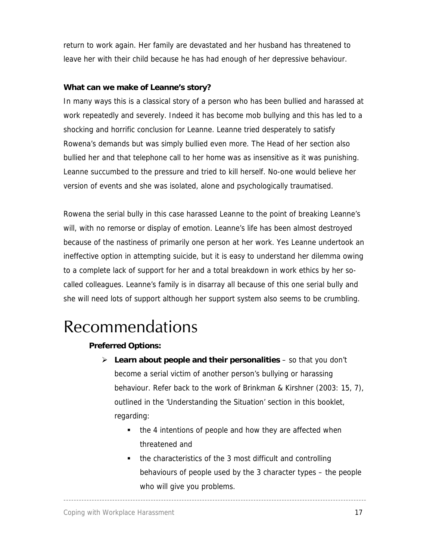<span id="page-16-0"></span>return to work again. Her family are devastated and her husband has threatened to leave her with their child because he has had enough of her depressive behaviour.

### **What can we make of Leanne's story?**

In many ways this is a classical story of a person who has been bullied and harassed at work repeatedly and severely. Indeed it has become mob bullying and this has led to a shocking and horrific conclusion for Leanne. Leanne tried desperately to satisfy Rowena's demands but was simply bullied even more. The Head of her section also bullied her and that telephone call to her home was as insensitive as it was punishing. Leanne succumbed to the pressure and tried to kill herself. No-one would believe her version of events and she was isolated, alone and psychologically traumatised.

Rowena the serial bully in this case harassed Leanne to the point of breaking Leanne's will, with no remorse or display of emotion. Leanne's life has been almost destroyed because of the nastiness of primarily one person at her work. Yes Leanne undertook an ineffective option in attempting suicide, but it is easy to understand her dilemma owing to a complete lack of support for her and a total breakdown in work ethics by her socalled colleagues. Leanne's family is in disarray all because of this one serial bully and she will need lots of support although her support system also seems to be crumbling.

## Recommendations

### **Preferred Options:**

- ¾ **Learn about people and their personalities**  so that you don't become a serial victim of another person's bullying or harassing behaviour. Refer back to the work of Brinkman & Kirshner (2003: 15, 7), outlined in the 'Understanding the Situation' section in this booklet, regarding:
	- the 4 intentions of people and how they are affected when threatened and

----------------------------------------------------------------------------------------------------------------------

• the characteristics of the 3 most difficult and controlling behaviours of people used by the 3 character types – the people who will give you problems.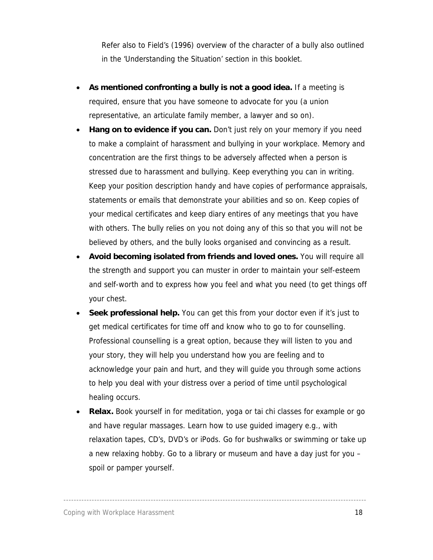Refer also to Field's (1996) overview of the character of a bully also outlined in the 'Understanding the Situation' section in this booklet.

- **As mentioned confronting a bully is not a good idea.** If a meeting is required, ensure that you have someone to advocate for you (a union representative, an articulate family member, a lawyer and so on).
- **Hang on to evidence if you can.** Don't just rely on your memory if you need to make a complaint of harassment and bullying in your workplace. Memory and concentration are the first things to be adversely affected when a person is stressed due to harassment and bullying. Keep everything you can in writing. Keep your position description handy and have copies of performance appraisals, statements or emails that demonstrate your abilities and so on. Keep copies of your medical certificates and keep diary entires of any meetings that you have with others. The bully relies on you not doing any of this so that you will not be believed by others, and the bully looks organised and convincing as a result.
- **Avoid becoming isolated from friends and loved ones.** You will require all the strength and support you can muster in order to maintain your self-esteem and self-worth and to express how you feel and what you need (to get things off your chest.
- **Seek professional help.** You can get this from your doctor even if it's just to get medical certificates for time off and know who to go to for counselling. Professional counselling is a great option, because they will listen to you and your story, they will help you understand how you are feeling and to acknowledge your pain and hurt, and they will guide you through some actions to help you deal with your distress over a period of time until psychological healing occurs.
- **Relax.** Book yourself in for meditation, yoga or tai chi classes for example or go and have regular massages. Learn how to use guided imagery e.g., with relaxation tapes, CD's, DVD's or iPods. Go for bushwalks or swimming or take up a new relaxing hobby. Go to a library or museum and have a day just for you – spoil or pamper yourself.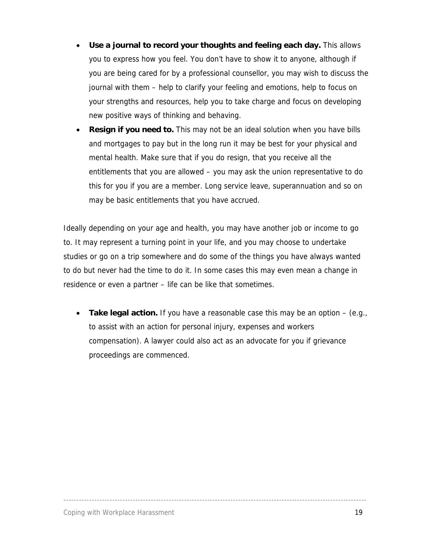- **Use a journal to record your thoughts and feeling each day.** This allows you to express how you feel. You don't have to show it to anyone, although if you are being cared for by a professional counsellor, you may wish to discuss the journal with them – help to clarify your feeling and emotions, help to focus on your strengths and resources, help you to take charge and focus on developing new positive ways of thinking and behaving.
- **Resign if you need to.** This may not be an ideal solution when you have bills and mortgages to pay but in the long run it may be best for your physical and mental health. Make sure that if you do resign, that you receive all the entitlements that you are allowed – you may ask the union representative to do this for you if you are a member. Long service leave, superannuation and so on may be basic entitlements that you have accrued.

Ideally depending on your age and health, you may have another job or income to go to. It may represent a turning point in your life, and you may choose to undertake studies or go on a trip somewhere and do some of the things you have always wanted to do but never had the time to do it. In some cases this may even mean a change in residence or even a partner – life can be like that sometimes.

• **Take legal action.** If you have a reasonable case this may be an option – (e.g., to assist with an action for personal injury, expenses and workers compensation). A lawyer could also act as an advocate for you if grievance proceedings are commenced.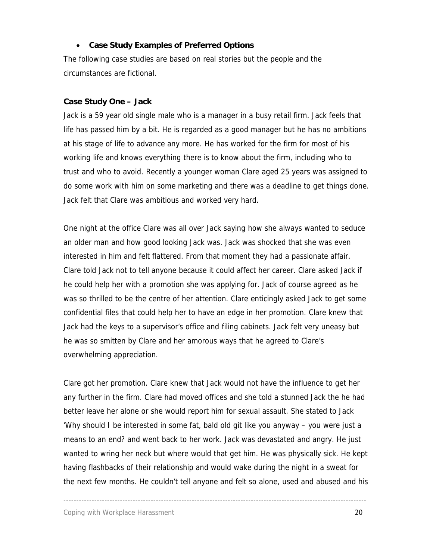### • **Case Study Examples of Preferred Options**

The following case studies are based on real stories but the people and the circumstances are fictional.

### **Case Study One – Jack**

Jack is a 59 year old single male who is a manager in a busy retail firm. Jack feels that life has passed him by a bit. He is regarded as a good manager but he has no ambitions at his stage of life to advance any more. He has worked for the firm for most of his working life and knows everything there is to know about the firm, including who to trust and who to avoid. Recently a younger woman Clare aged 25 years was assigned to do some work with him on some marketing and there was a deadline to get things done. Jack felt that Clare was ambitious and worked very hard.

One night at the office Clare was all over Jack saying how she always wanted to seduce an older man and how good looking Jack was. Jack was shocked that she was even interested in him and felt flattered. From that moment they had a passionate affair. Clare told Jack not to tell anyone because it could affect her career. Clare asked Jack if he could help her with a promotion she was applying for. Jack of course agreed as he was so thrilled to be the centre of her attention. Clare enticingly asked Jack to get some confidential files that could help her to have an edge in her promotion. Clare knew that Jack had the keys to a supervisor's office and filing cabinets. Jack felt very uneasy but he was so smitten by Clare and her amorous ways that he agreed to Clare's overwhelming appreciation.

Clare got her promotion. Clare knew that Jack would not have the influence to get her any further in the firm. Clare had moved offices and she told a stunned Jack the he had better leave her alone or she would report him for sexual assault. She stated to Jack 'Why should I be interested in some fat, bald old git like you anyway – you were just a means to an end? and went back to her work. Jack was devastated and angry. He just wanted to wring her neck but where would that get him. He was physically sick. He kept having flashbacks of their relationship and would wake during the night in a sweat for the next few months. He couldn't tell anyone and felt so alone, used and abused and his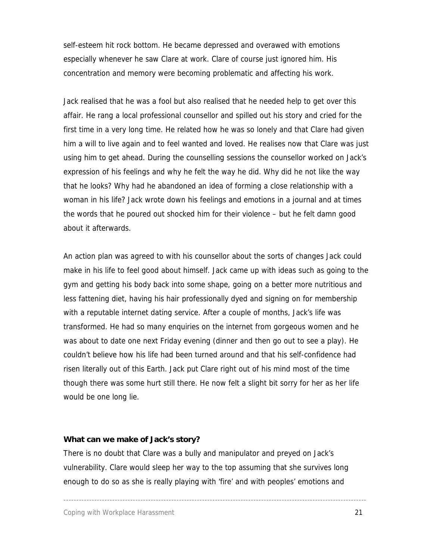self-esteem hit rock bottom. He became depressed and overawed with emotions especially whenever he saw Clare at work. Clare of course just ignored him. His concentration and memory were becoming problematic and affecting his work.

Jack realised that he was a fool but also realised that he needed help to get over this affair. He rang a local professional counsellor and spilled out his story and cried for the first time in a very long time. He related how he was so lonely and that Clare had given him a will to live again and to feel wanted and loved. He realises now that Clare was just using him to get ahead. During the counselling sessions the counsellor worked on Jack's expression of his feelings and why he felt the way he did. Why did he not like the way that he looks? Why had he abandoned an idea of forming a close relationship with a woman in his life? Jack wrote down his feelings and emotions in a journal and at times the words that he poured out shocked him for their violence – but he felt damn good about it afterwards.

An action plan was agreed to with his counsellor about the sorts of changes Jack could make in his life to feel good about himself. Jack came up with ideas such as going to the gym and getting his body back into some shape, going on a better more nutritious and less fattening diet, having his hair professionally dyed and signing on for membership with a reputable internet dating service. After a couple of months, Jack's life was transformed. He had so many enquiries on the internet from gorgeous women and he was about to date one next Friday evening (dinner and then go out to see a play). He couldn't believe how his life had been turned around and that his self-confidence had risen literally out of this Earth. Jack put Clare right out of his mind most of the time though there was some hurt still there. He now felt a slight bit sorry for her as her life would be one long lie.

### **What can we make of Jack's story?**

There is no doubt that Clare was a bully and manipulator and preyed on Jack's vulnerability. Clare would sleep her way to the top assuming that she survives long enough to do so as she is really playing with 'fire' and with peoples' emotions and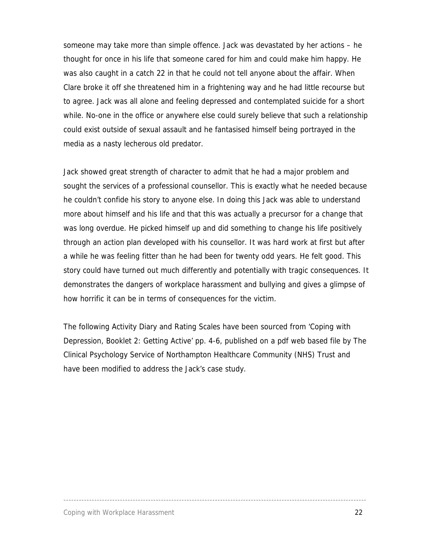someone may take more than simple offence. Jack was devastated by her actions – he thought for once in his life that someone cared for him and could make him happy. He was also caught in a catch 22 in that he could not tell anyone about the affair. When Clare broke it off she threatened him in a frightening way and he had little recourse but to agree. Jack was all alone and feeling depressed and contemplated suicide for a short while. No-one in the office or anywhere else could surely believe that such a relationship could exist outside of sexual assault and he fantasised himself being portrayed in the media as a nasty lecherous old predator.

Jack showed great strength of character to admit that he had a major problem and sought the services of a professional counsellor. This is exactly what he needed because he couldn't confide his story to anyone else. In doing this Jack was able to understand more about himself and his life and that this was actually a precursor for a change that was long overdue. He picked himself up and did something to change his life positively through an action plan developed with his counsellor. It was hard work at first but after a while he was feeling fitter than he had been for twenty odd years. He felt good. This story could have turned out much differently and potentially with tragic consequences. It demonstrates the dangers of workplace harassment and bullying and gives a glimpse of how horrific it can be in terms of consequences for the victim.

The following Activity Diary and Rating Scales have been sourced from 'Coping with Depression, Booklet 2: Getting Active' pp. 4-6, published on a pdf web based file by The Clinical Psychology Service of Northampton Healthcare Community (NHS) Trust and have been modified to address the Jack's case study.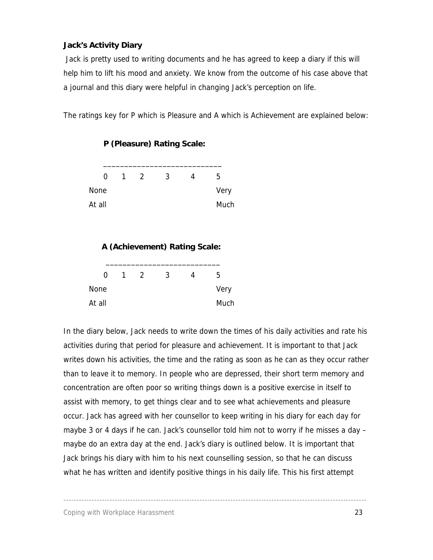### **Jack's Activity Diary**

 Jack is pretty used to writing documents and he has agreed to keep a diary if this will help him to lift his mood and anxiety. We know from the outcome of his case above that a journal and this diary were helpful in changing Jack's perception on life.

The ratings key for P which is Pleasure and A which is Achievement are explained below:

| 0           | 1 | $\mathcal{P}$ | 3 | 4 | 5    |
|-------------|---|---------------|---|---|------|
| <b>None</b> |   |               |   |   | Very |
| At all      |   |               |   |   | Much |

**P (Pleasure) Rating Scale:** 

### **A (Achievement) Rating Scale:**

| 0           | 1 | $\mathcal{L}$ | 3 | 5    |
|-------------|---|---------------|---|------|
| <b>None</b> |   |               |   | Very |
| At all      |   |               |   | Much |

In the diary below, Jack needs to write down the times of his daily activities and rate his activities during that period for pleasure and achievement. It is important to that Jack writes down his activities, the time and the rating as soon as he can as they occur rather than to leave it to memory. In people who are depressed, their short term memory and concentration are often poor so writing things down is a positive exercise in itself to assist with memory, to get things clear and to see what achievements and pleasure occur. Jack has agreed with her counsellor to keep writing in his diary for each day for maybe 3 or 4 days if he can. Jack's counsellor told him not to worry if he misses a day – maybe do an extra day at the end. Jack's diary is outlined below. It is important that Jack brings his diary with him to his next counselling session, so that he can discuss what he has written and identify positive things in his daily life. This his first attempt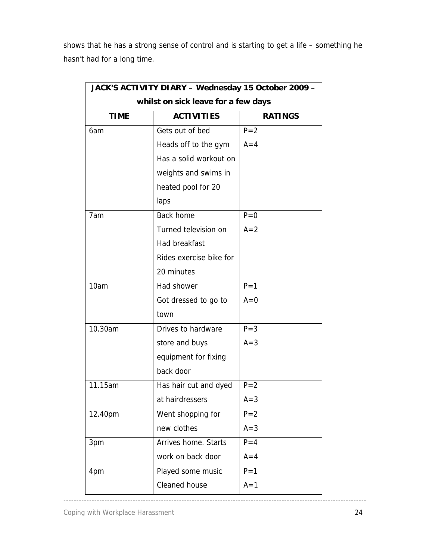shows that he has a strong sense of control and is starting to get a life – something he hasn't had for a long time.

|                                                    | whilst on sick leave for a few days |         |  |  |
|----------------------------------------------------|-------------------------------------|---------|--|--|
| <b>TIME</b><br><b>ACTIVITIES</b><br><b>RATINGS</b> |                                     |         |  |  |
| 6am                                                | Gets out of bed                     | $P = 2$ |  |  |
|                                                    | Heads off to the gym                | $A=4$   |  |  |
|                                                    | Has a solid workout on              |         |  |  |
|                                                    | weights and swims in                |         |  |  |
|                                                    | heated pool for 20                  |         |  |  |
|                                                    | laps                                |         |  |  |
| 7am                                                | <b>Back home</b>                    | $P=0$   |  |  |
|                                                    | Turned television on                | $A=2$   |  |  |
|                                                    | Had breakfast                       |         |  |  |
|                                                    | Rides exercise bike for             |         |  |  |
|                                                    | 20 minutes                          |         |  |  |
| 10am                                               | Had shower                          | $P = 1$ |  |  |
|                                                    | Got dressed to go to                | $A=0$   |  |  |
|                                                    | town                                |         |  |  |
| 10.30am                                            | Drives to hardware                  | $P = 3$ |  |  |
|                                                    | store and buys                      | $A = 3$ |  |  |
|                                                    | equipment for fixing                |         |  |  |
|                                                    | back door                           |         |  |  |
| 11.15am                                            | Has hair cut and dyed               | $P = 2$ |  |  |
|                                                    | at hairdressers                     | $A = 3$ |  |  |
| 12.40pm                                            | Went shopping for                   | $P = 2$ |  |  |
|                                                    | new clothes                         | $A=3$   |  |  |
| 3pm                                                | Arrives home. Starts                | $P = 4$ |  |  |
|                                                    | work on back door                   | $A = 4$ |  |  |
| 4pm                                                | Played some music                   | $P = 1$ |  |  |
|                                                    | Cleaned house                       | $A=1$   |  |  |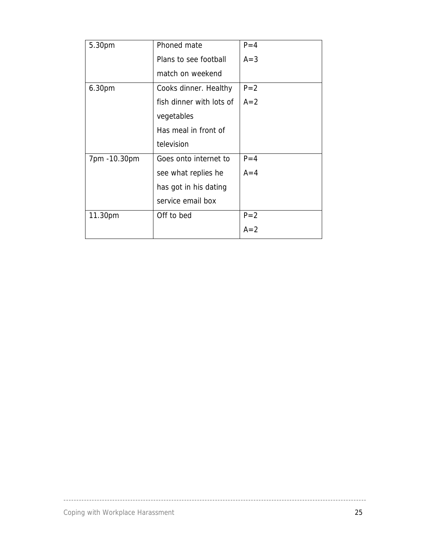| 5.30pm       | Phoned mate              | $P = 4$ |
|--------------|--------------------------|---------|
|              | Plans to see football    | $A = 3$ |
|              | match on weekend         |         |
| 6.30pm       | Cooks dinner. Healthy    | $P = 2$ |
|              | fish dinner with lots of | $A=2$   |
|              | vegetables               |         |
|              | Has meal in front of     |         |
|              | television               |         |
| 7pm -10.30pm | Goes onto internet to    | $P = 4$ |
|              | see what replies he      | $A=4$   |
|              | has got in his dating    |         |
|              | service email box        |         |
| 11.30pm      | Off to bed               | $P = 2$ |
|              |                          | $A=2$   |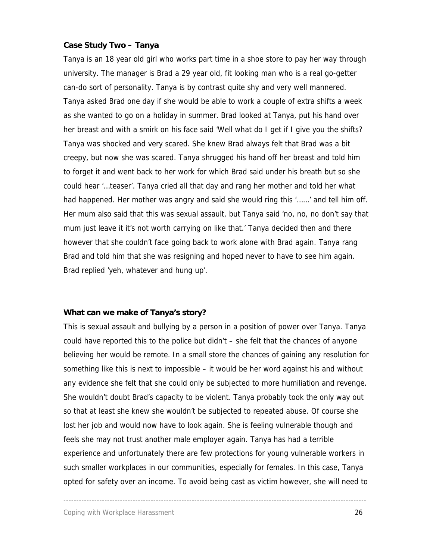### **Case Study Two – Tanya**

Tanya is an 18 year old girl who works part time in a shoe store to pay her way through university. The manager is Brad a 29 year old, fit looking man who is a real go-getter can-do sort of personality. Tanya is by contrast quite shy and very well mannered. Tanya asked Brad one day if she would be able to work a couple of extra shifts a week as she wanted to go on a holiday in summer. Brad looked at Tanya, put his hand over her breast and with a smirk on his face said 'Well what do I get if I give you the shifts? Tanya was shocked and very scared. She knew Brad always felt that Brad was a bit creepy, but now she was scared. Tanya shrugged his hand off her breast and told him to forget it and went back to her work for which Brad said under his breath but so she could hear '…teaser'. Tanya cried all that day and rang her mother and told her what had happened. Her mother was angry and said she would ring this '……' and tell him off. Her mum also said that this was sexual assault, but Tanya said 'no, no, no don't say that mum just leave it it's not worth carrying on like that.' Tanya decided then and there however that she couldn't face going back to work alone with Brad again. Tanya rang Brad and told him that she was resigning and hoped never to have to see him again. Brad replied 'yeh, whatever and hung up'.

#### **What can we make of Tanya's story?**

This is sexual assault and bullying by a person in a position of power over Tanya. Tanya could have reported this to the police but didn't – she felt that the chances of anyone believing her would be remote. In a small store the chances of gaining any resolution for something like this is next to impossible – it would be her word against his and without any evidence she felt that she could only be subjected to more humiliation and revenge. She wouldn't doubt Brad's capacity to be violent. Tanya probably took the only way out so that at least she knew she wouldn't be subjected to repeated abuse. Of course she lost her job and would now have to look again. She is feeling vulnerable though and feels she may not trust another male employer again. Tanya has had a terrible experience and unfortunately there are few protections for young vulnerable workers in such smaller workplaces in our communities, especially for females. In this case, Tanya opted for safety over an income. To avoid being cast as victim however, she will need to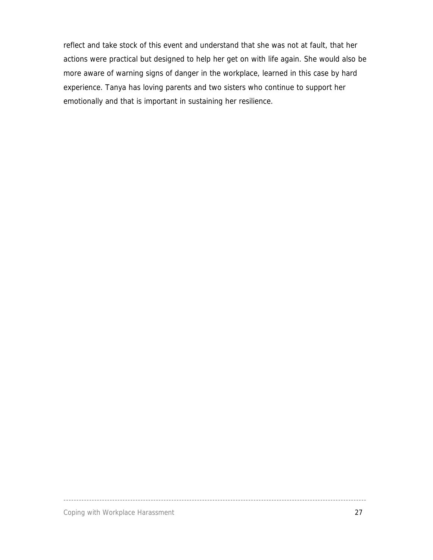reflect and take stock of this event and understand that she was not at fault, that her actions were practical but designed to help her get on with life again. She would also be more aware of warning signs of danger in the workplace, learned in this case by hard experience. Tanya has loving parents and two sisters who continue to support her emotionally and that is important in sustaining her resilience.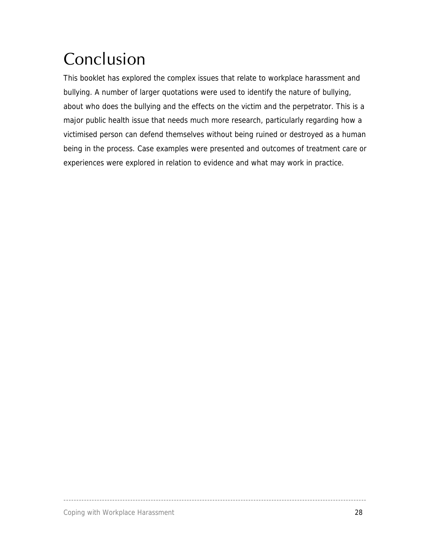# <span id="page-27-0"></span>Conclusion

This booklet has explored the complex issues that relate to workplace harassment and bullying. A number of larger quotations were used to identify the nature of bullying, about who does the bullying and the effects on the victim and the perpetrator. This is a major public health issue that needs much more research, particularly regarding how a victimised person can defend themselves without being ruined or destroyed as a human being in the process. Case examples were presented and outcomes of treatment care or experiences were explored in relation to evidence and what may work in practice.